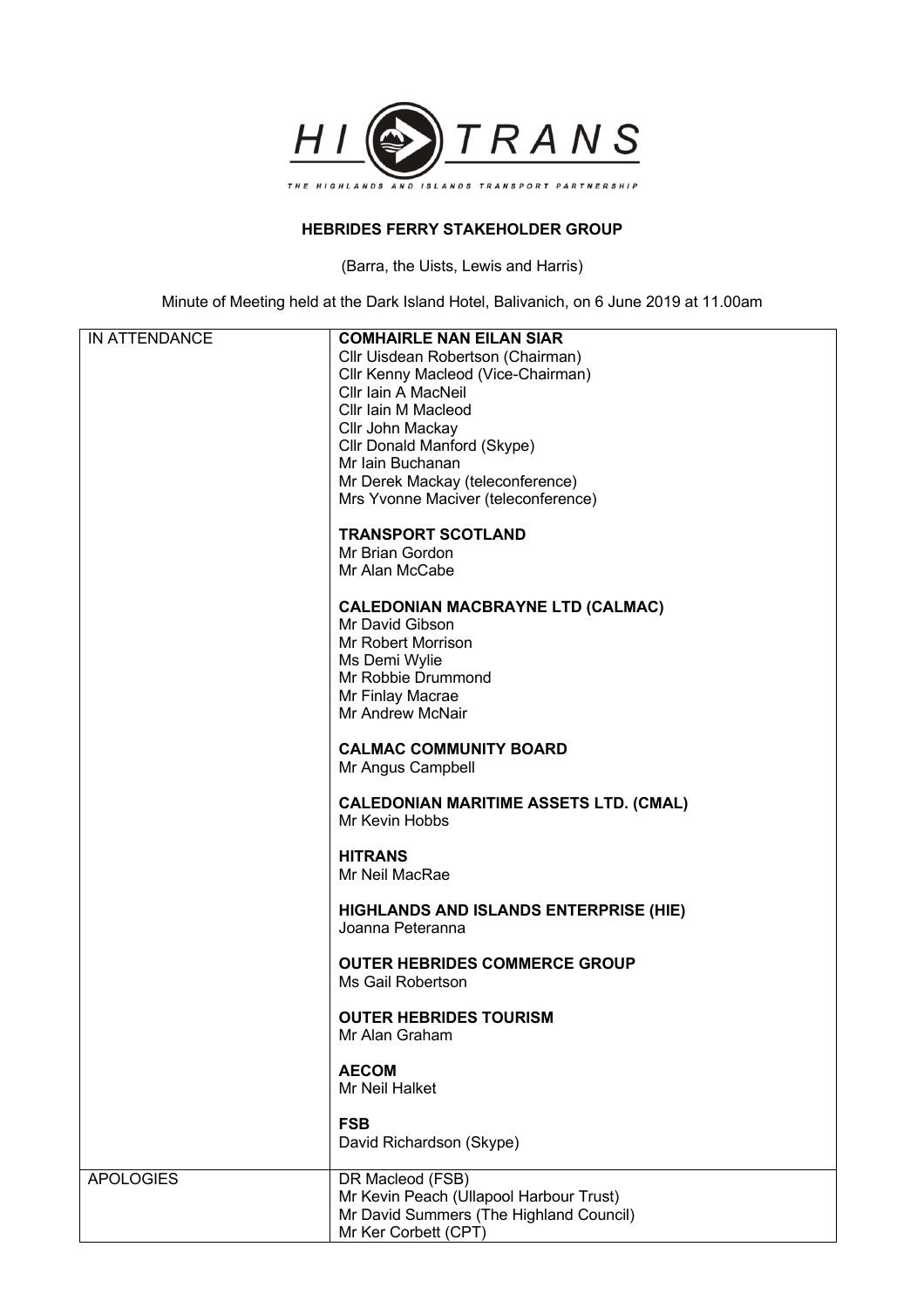

## **HEBRIDES FERRY STAKEHOLDER GROUP**

(Barra, the Uists, Lewis and Harris)

Minute of Meeting held at the Dark Island Hotel, Balivanich, on 6 June 2019 at 11.00am

| IN ATTENDANCE    | <b>COMHAIRLE NAN EILAN SIAR</b>                                 |
|------------------|-----------------------------------------------------------------|
|                  |                                                                 |
|                  | Cllr Uisdean Robertson (Chairman)                               |
|                  | Cllr Kenny Macleod (Vice-Chairman)                              |
|                  | Cllr Iain A MacNeil                                             |
|                  | Cllr Iain M Macleod                                             |
|                  | Cllr John Mackay                                                |
|                  | Cllr Donald Manford (Skype)                                     |
|                  | Mr Iain Buchanan                                                |
|                  | Mr Derek Mackay (teleconference)                                |
|                  | Mrs Yvonne Maciver (teleconference)                             |
|                  |                                                                 |
|                  | <b>TRANSPORT SCOTLAND</b>                                       |
|                  | Mr Brian Gordon                                                 |
|                  | Mr Alan McCabe                                                  |
|                  |                                                                 |
|                  | <b>CALEDONIAN MACBRAYNE LTD (CALMAC)</b>                        |
|                  | Mr David Gibson                                                 |
|                  |                                                                 |
|                  | Mr Robert Morrison                                              |
|                  | Ms Demi Wylie                                                   |
|                  | Mr Robbie Drummond                                              |
|                  | Mr Finlay Macrae                                                |
|                  | Mr Andrew McNair                                                |
|                  |                                                                 |
|                  | <b>CALMAC COMMUNITY BOARD</b>                                   |
|                  | Mr Angus Campbell                                               |
|                  |                                                                 |
|                  | <b>CALEDONIAN MARITIME ASSETS LTD. (CMAL)</b><br>Mr Kevin Hobbs |
|                  |                                                                 |
|                  | <b>HITRANS</b>                                                  |
|                  | Mr Neil MacRae                                                  |
|                  |                                                                 |
|                  | <b>HIGHLANDS AND ISLANDS ENTERPRISE (HIE)</b>                   |
|                  | Joanna Peteranna                                                |
|                  |                                                                 |
|                  | <b>OUTER HEBRIDES COMMERCE GROUP</b>                            |
|                  | Ms Gail Robertson                                               |
|                  |                                                                 |
|                  | <b>OUTER HEBRIDES TOURISM</b>                                   |
|                  | Mr Alan Graham                                                  |
|                  |                                                                 |
|                  |                                                                 |
|                  | <b>AECOM</b><br>Mr Neil Halket                                  |
|                  |                                                                 |
|                  | <b>FSB</b>                                                      |
|                  | David Richardson (Skype)                                        |
|                  |                                                                 |
| <b>APOLOGIES</b> | DR Macleod (FSB)                                                |
|                  | Mr Kevin Peach (Ullapool Harbour Trust)                         |
|                  | Mr David Summers (The Highland Council)                         |
|                  | Mr Ker Corbett (CPT)                                            |
|                  |                                                                 |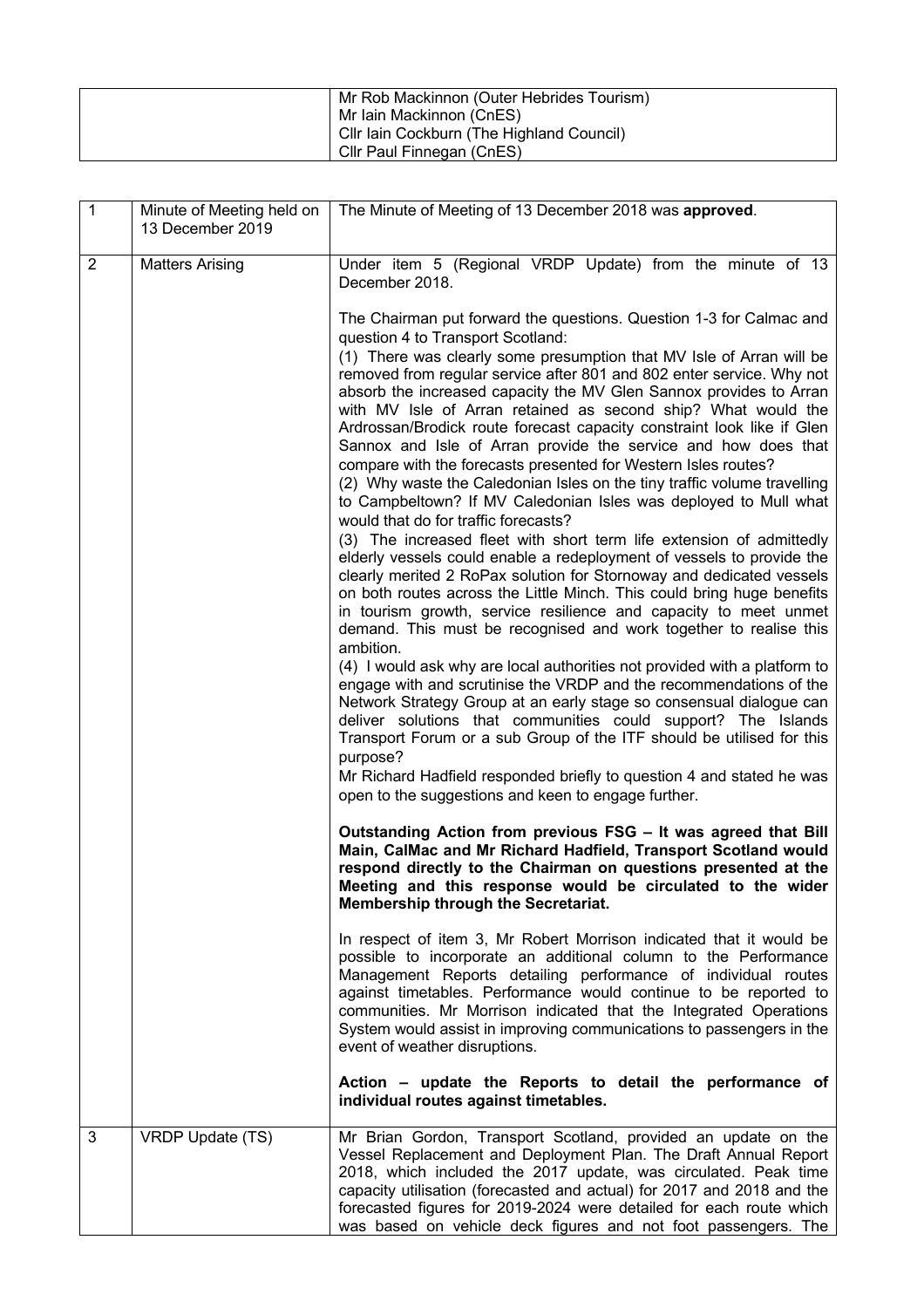| Mr Rob Mackinnon (Outer Hebrides Tourism) |
|-------------------------------------------|
| Mr Iain Mackinnon (CnES)                  |
| Cllr Iain Cockburn (The Highland Council) |
| Cllr Paul Finnegan (CnES)                 |

| $\overline{1}$ | Minute of Meeting held on<br>13 December 2019 | The Minute of Meeting of 13 December 2018 was approved.                                                                                                                                                                                                                                                                                                                                                                                                                                                                                                                                                                                                                                                                                                                                                                                                                                                                                                                                                                                                                                                                                                                                                                                            |
|----------------|-----------------------------------------------|----------------------------------------------------------------------------------------------------------------------------------------------------------------------------------------------------------------------------------------------------------------------------------------------------------------------------------------------------------------------------------------------------------------------------------------------------------------------------------------------------------------------------------------------------------------------------------------------------------------------------------------------------------------------------------------------------------------------------------------------------------------------------------------------------------------------------------------------------------------------------------------------------------------------------------------------------------------------------------------------------------------------------------------------------------------------------------------------------------------------------------------------------------------------------------------------------------------------------------------------------|
| $\overline{2}$ | <b>Matters Arising</b>                        | Under item 5 (Regional VRDP Update) from the minute of 13<br>December 2018.                                                                                                                                                                                                                                                                                                                                                                                                                                                                                                                                                                                                                                                                                                                                                                                                                                                                                                                                                                                                                                                                                                                                                                        |
|                |                                               | The Chairman put forward the questions. Question 1-3 for Calmac and<br>question 4 to Transport Scotland:<br>(1) There was clearly some presumption that MV Isle of Arran will be<br>removed from regular service after 801 and 802 enter service. Why not<br>absorb the increased capacity the MV Glen Sannox provides to Arran<br>with MV Isle of Arran retained as second ship? What would the<br>Ardrossan/Brodick route forecast capacity constraint look like if Glen<br>Sannox and Isle of Arran provide the service and how does that<br>compare with the forecasts presented for Western Isles routes?<br>(2) Why waste the Caledonian Isles on the tiny traffic volume travelling<br>to Campbeltown? If MV Caledonian Isles was deployed to Mull what<br>would that do for traffic forecasts?<br>(3) The increased fleet with short term life extension of admittedly<br>elderly vessels could enable a redeployment of vessels to provide the<br>clearly merited 2 RoPax solution for Stornoway and dedicated vessels<br>on both routes across the Little Minch. This could bring huge benefits<br>in tourism growth, service resilience and capacity to meet unmet<br>demand. This must be recognised and work together to realise this |
|                |                                               | ambition.<br>(4) I would ask why are local authorities not provided with a platform to<br>engage with and scrutinise the VRDP and the recommendations of the<br>Network Strategy Group at an early stage so consensual dialogue can<br>deliver solutions that communities could support? The Islands<br>Transport Forum or a sub Group of the ITF should be utilised for this<br>purpose?<br>Mr Richard Hadfield responded briefly to question 4 and stated he was                                                                                                                                                                                                                                                                                                                                                                                                                                                                                                                                                                                                                                                                                                                                                                                 |
|                |                                               | open to the suggestions and keen to engage further.<br>Outstanding Action from previous FSG - It was agreed that Bill<br>Main, CalMac and Mr Richard Hadfield, Transport Scotland would<br>respond directly to the Chairman on questions presented at the<br>Meeting and this response would be circulated to the wider<br>Membership through the Secretariat.                                                                                                                                                                                                                                                                                                                                                                                                                                                                                                                                                                                                                                                                                                                                                                                                                                                                                     |
|                |                                               | In respect of item 3, Mr Robert Morrison indicated that it would be<br>possible to incorporate an additional column to the Performance<br>Management Reports detailing performance of individual routes<br>against timetables. Performance would continue to be reported to<br>communities. Mr Morrison indicated that the Integrated Operations<br>System would assist in improving communications to passengers in the<br>event of weather disruptions.                                                                                                                                                                                                                                                                                                                                                                                                                                                                                                                                                                                                                                                                                                                                                                                          |
|                |                                               | Action – update the Reports to detail the performance of<br>individual routes against timetables.                                                                                                                                                                                                                                                                                                                                                                                                                                                                                                                                                                                                                                                                                                                                                                                                                                                                                                                                                                                                                                                                                                                                                  |
| 3              | VRDP Update (TS)                              | Mr Brian Gordon, Transport Scotland, provided an update on the<br>Vessel Replacement and Deployment Plan. The Draft Annual Report<br>2018, which included the 2017 update, was circulated. Peak time<br>capacity utilisation (forecasted and actual) for 2017 and 2018 and the<br>forecasted figures for 2019-2024 were detailed for each route which<br>was based on vehicle deck figures and not foot passengers. The                                                                                                                                                                                                                                                                                                                                                                                                                                                                                                                                                                                                                                                                                                                                                                                                                            |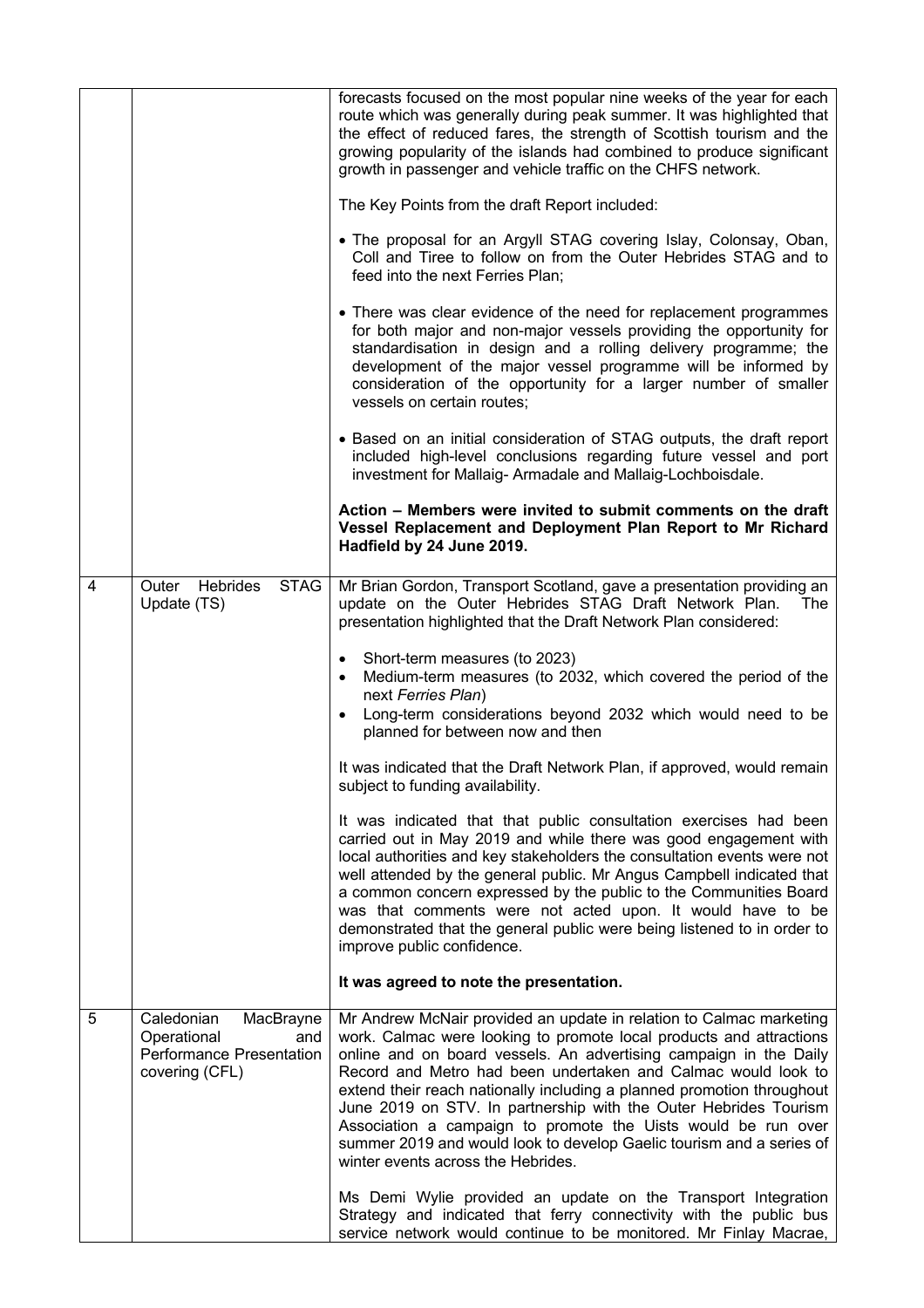|                |                                                                                                    | forecasts focused on the most popular nine weeks of the year for each<br>route which was generally during peak summer. It was highlighted that<br>the effect of reduced fares, the strength of Scottish tourism and the<br>growing popularity of the islands had combined to produce significant<br>growth in passenger and vehicle traffic on the CHFS network.                                                                                                                                                                                                                                              |
|----------------|----------------------------------------------------------------------------------------------------|---------------------------------------------------------------------------------------------------------------------------------------------------------------------------------------------------------------------------------------------------------------------------------------------------------------------------------------------------------------------------------------------------------------------------------------------------------------------------------------------------------------------------------------------------------------------------------------------------------------|
|                |                                                                                                    | The Key Points from the draft Report included:                                                                                                                                                                                                                                                                                                                                                                                                                                                                                                                                                                |
|                |                                                                                                    | • The proposal for an Argyll STAG covering Islay, Colonsay, Oban,<br>Coll and Tiree to follow on from the Outer Hebrides STAG and to<br>feed into the next Ferries Plan;                                                                                                                                                                                                                                                                                                                                                                                                                                      |
|                |                                                                                                    | • There was clear evidence of the need for replacement programmes<br>for both major and non-major vessels providing the opportunity for<br>standardisation in design and a rolling delivery programme; the<br>development of the major vessel programme will be informed by<br>consideration of the opportunity for a larger number of smaller<br>vessels on certain routes;                                                                                                                                                                                                                                  |
|                |                                                                                                    | • Based on an initial consideration of STAG outputs, the draft report<br>included high-level conclusions regarding future vessel and port<br>investment for Mallaig-Armadale and Mallaig-Lochboisdale.                                                                                                                                                                                                                                                                                                                                                                                                        |
|                |                                                                                                    | Action - Members were invited to submit comments on the draft<br>Vessel Replacement and Deployment Plan Report to Mr Richard<br>Hadfield by 24 June 2019.                                                                                                                                                                                                                                                                                                                                                                                                                                                     |
| $\overline{4}$ | <b>Hebrides</b><br><b>STAG</b><br>Outer<br>Update (TS)                                             | Mr Brian Gordon, Transport Scotland, gave a presentation providing an<br>update on the Outer Hebrides STAG Draft Network Plan.<br>The<br>presentation highlighted that the Draft Network Plan considered:                                                                                                                                                                                                                                                                                                                                                                                                     |
|                |                                                                                                    | • Short-term measures (to 2023)<br>Medium-term measures (to 2032, which covered the period of the<br>next Ferries Plan)<br>Long-term considerations beyond 2032 which would need to be<br>planned for between now and then                                                                                                                                                                                                                                                                                                                                                                                    |
|                |                                                                                                    | It was indicated that the Draft Network Plan, if approved, would remain<br>subject to funding availability.                                                                                                                                                                                                                                                                                                                                                                                                                                                                                                   |
|                |                                                                                                    | It was indicated that that public consultation exercises had been<br>carried out in May 2019 and while there was good engagement with<br>local authorities and key stakeholders the consultation events were not<br>well attended by the general public. Mr Angus Campbell indicated that<br>a common concern expressed by the public to the Communities Board<br>was that comments were not acted upon. It would have to be<br>demonstrated that the general public were being listened to in order to<br>improve public confidence.                                                                         |
|                |                                                                                                    | It was agreed to note the presentation.                                                                                                                                                                                                                                                                                                                                                                                                                                                                                                                                                                       |
| 5              | Caledonian<br>MacBrayne<br>Operational<br>and<br><b>Performance Presentation</b><br>covering (CFL) | Mr Andrew McNair provided an update in relation to Calmac marketing<br>work. Calmac were looking to promote local products and attractions<br>online and on board vessels. An advertising campaign in the Daily<br>Record and Metro had been undertaken and Calmac would look to<br>extend their reach nationally including a planned promotion throughout<br>June 2019 on STV. In partnership with the Outer Hebrides Tourism<br>Association a campaign to promote the Uists would be run over<br>summer 2019 and would look to develop Gaelic tourism and a series of<br>winter events across the Hebrides. |
|                |                                                                                                    | Ms Demi Wylie provided an update on the Transport Integration<br>Strategy and indicated that ferry connectivity with the public bus<br>service network would continue to be monitored. Mr Finlay Macrae,                                                                                                                                                                                                                                                                                                                                                                                                      |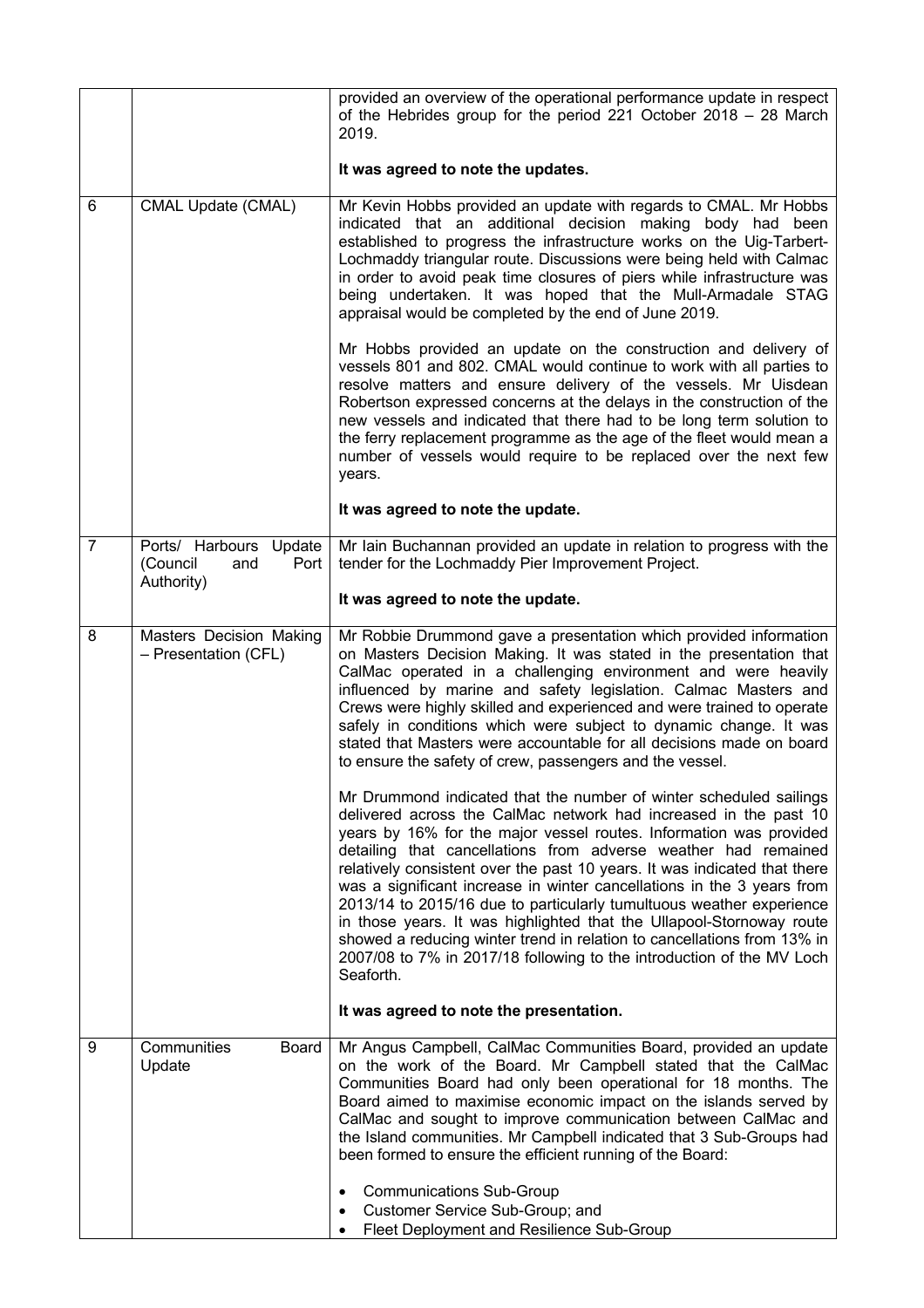|                |                                                                 | provided an overview of the operational performance update in respect<br>of the Hebrides group for the period 221 October 2018 $-$ 28 March<br>2019.                                                                                                                                                                                                                                                                                                                                                                                                                                                                                                                                                                                                   |
|----------------|-----------------------------------------------------------------|--------------------------------------------------------------------------------------------------------------------------------------------------------------------------------------------------------------------------------------------------------------------------------------------------------------------------------------------------------------------------------------------------------------------------------------------------------------------------------------------------------------------------------------------------------------------------------------------------------------------------------------------------------------------------------------------------------------------------------------------------------|
|                |                                                                 | It was agreed to note the updates.                                                                                                                                                                                                                                                                                                                                                                                                                                                                                                                                                                                                                                                                                                                     |
| 6              | <b>CMAL Update (CMAL)</b>                                       | Mr Kevin Hobbs provided an update with regards to CMAL. Mr Hobbs<br>indicated that an additional decision making body had been<br>established to progress the infrastructure works on the Uig-Tarbert-<br>Lochmaddy triangular route. Discussions were being held with Calmac<br>in order to avoid peak time closures of piers while infrastructure was<br>being undertaken. It was hoped that the Mull-Armadale STAG<br>appraisal would be completed by the end of June 2019.                                                                                                                                                                                                                                                                         |
|                |                                                                 | Mr Hobbs provided an update on the construction and delivery of<br>vessels 801 and 802. CMAL would continue to work with all parties to<br>resolve matters and ensure delivery of the vessels. Mr Uisdean<br>Robertson expressed concerns at the delays in the construction of the<br>new vessels and indicated that there had to be long term solution to<br>the ferry replacement programme as the age of the fleet would mean a<br>number of vessels would require to be replaced over the next few<br>years.                                                                                                                                                                                                                                       |
|                |                                                                 | It was agreed to note the update.                                                                                                                                                                                                                                                                                                                                                                                                                                                                                                                                                                                                                                                                                                                      |
| $\overline{7}$ | Ports/ Harbours Update<br>(Council<br>and<br>Port<br>Authority) | Mr lain Buchannan provided an update in relation to progress with the<br>tender for the Lochmaddy Pier Improvement Project.                                                                                                                                                                                                                                                                                                                                                                                                                                                                                                                                                                                                                            |
|                |                                                                 | It was agreed to note the update.                                                                                                                                                                                                                                                                                                                                                                                                                                                                                                                                                                                                                                                                                                                      |
| 8              | Masters Decision Making<br>- Presentation (CFL)                 | Mr Robbie Drummond gave a presentation which provided information<br>on Masters Decision Making. It was stated in the presentation that<br>CalMac operated in a challenging environment and were heavily<br>influenced by marine and safety legislation. Calmac Masters and<br>Crews were highly skilled and experienced and were trained to operate<br>safely in conditions which were subject to dynamic change. It was<br>stated that Masters were accountable for all decisions made on board<br>to ensure the safety of crew, passengers and the vessel.                                                                                                                                                                                          |
|                |                                                                 | Mr Drummond indicated that the number of winter scheduled sailings<br>delivered across the CalMac network had increased in the past 10<br>years by 16% for the major vessel routes. Information was provided<br>detailing that cancellations from adverse weather had remained<br>relatively consistent over the past 10 years. It was indicated that there<br>was a significant increase in winter cancellations in the 3 years from<br>2013/14 to 2015/16 due to particularly tumultuous weather experience<br>in those years. It was highlighted that the Ullapool-Stornoway route<br>showed a reducing winter trend in relation to cancellations from 13% in<br>2007/08 to 7% in 2017/18 following to the introduction of the MV Loch<br>Seaforth. |
|                |                                                                 | It was agreed to note the presentation.                                                                                                                                                                                                                                                                                                                                                                                                                                                                                                                                                                                                                                                                                                                |
| 9              | Communities<br>Board<br>Update                                  | Mr Angus Campbell, CalMac Communities Board, provided an update<br>on the work of the Board. Mr Campbell stated that the CalMac<br>Communities Board had only been operational for 18 months. The<br>Board aimed to maximise economic impact on the islands served by<br>CalMac and sought to improve communication between CalMac and<br>the Island communities. Mr Campbell indicated that 3 Sub-Groups had<br>been formed to ensure the efficient running of the Board:                                                                                                                                                                                                                                                                             |
|                |                                                                 | <b>Communications Sub-Group</b><br>Customer Service Sub-Group; and<br>$\bullet$<br>Fleet Deployment and Resilience Sub-Group                                                                                                                                                                                                                                                                                                                                                                                                                                                                                                                                                                                                                           |